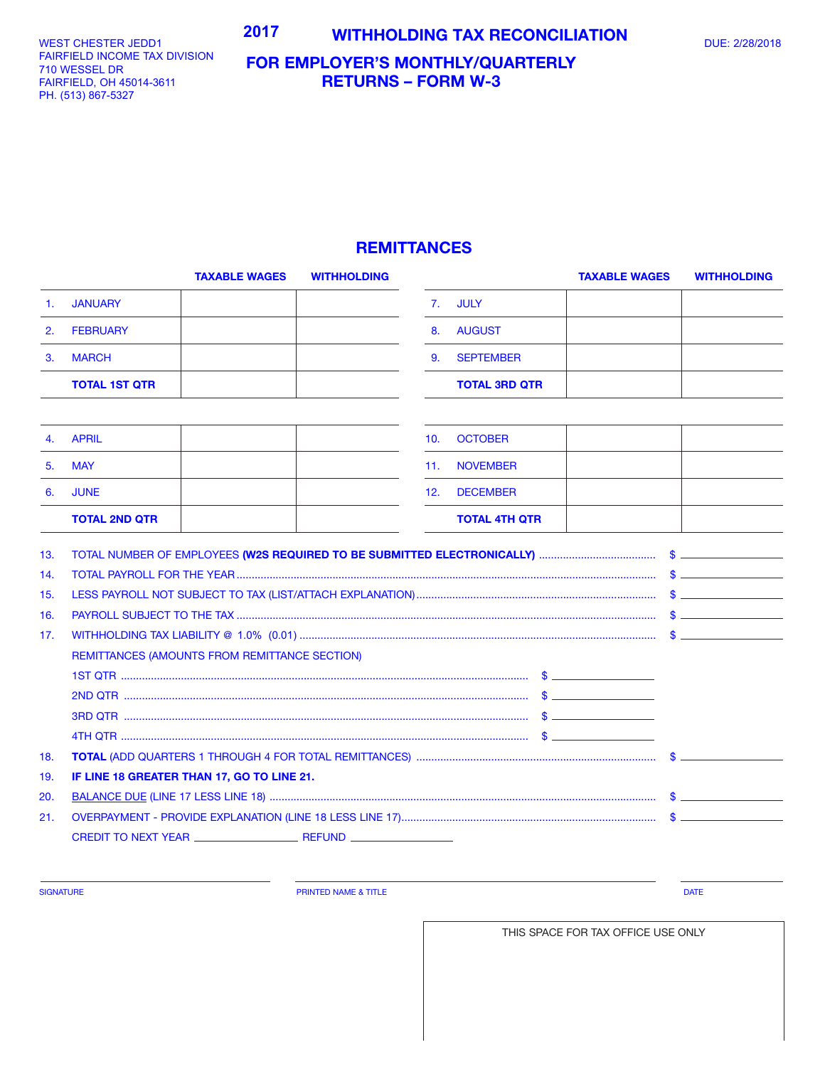WEST CHESTER JEDD1 FAIRFIELD INCOME TAX DIVISION 701 WESSEL DR 710 WESSEL DR FAIRFIELD, OH 45014-3611 FAIRFIELD, OH 45014-3611 PH. (513) 867-5327 PH. (513) 867-5327

## **FOR EMPLOYER'S MONTHLY/QUARTERLY RETURNS – FORM W-3**

## **REMITTANCES**

|     | <b>TAXABLE WAGES</b>                          | <b>WITHHOLDING</b> |     |                      | <b>TAXABLE WAGES</b> | <b>WITHHOLDING</b> |
|-----|-----------------------------------------------|--------------------|-----|----------------------|----------------------|--------------------|
| 1.  | <b>JANUARY</b>                                |                    | 7.  | <b>JULY</b>          |                      |                    |
| 2.  | <b>FEBRUARY</b>                               |                    | 8.  | <b>AUGUST</b>        |                      |                    |
| 3.  | <b>MARCH</b>                                  |                    | 9.  | <b>SEPTEMBER</b>     |                      |                    |
|     | <b>TOTAL 1ST QTR</b>                          |                    |     | <b>TOTAL 3RD QTR</b> |                      |                    |
|     |                                               |                    |     |                      |                      |                    |
| 4.  | <b>APRIL</b>                                  |                    | 10. | <b>OCTOBER</b>       |                      |                    |
| 5.  | <b>MAY</b>                                    |                    | 11. | <b>NOVEMBER</b>      |                      |                    |
| 6.  | <b>JUNE</b>                                   |                    | 12. | <b>DECEMBER</b>      |                      |                    |
|     | <b>TOTAL 2ND QTR</b>                          |                    |     | <b>TOTAL 4TH QTR</b> |                      |                    |
| 13. |                                               |                    |     |                      |                      |                    |
| 14. |                                               |                    |     |                      |                      |                    |
| 15. |                                               |                    |     |                      |                      |                    |
| 16. |                                               |                    |     |                      |                      |                    |
| 17. |                                               |                    |     |                      |                      |                    |
|     | REMITTANCES (AMOUNTS FROM REMITTANCE SECTION) |                    |     |                      |                      |                    |
|     |                                               |                    |     |                      |                      |                    |
|     |                                               |                    |     |                      |                      |                    |
|     |                                               |                    |     |                      |                      |                    |
|     |                                               |                    |     |                      |                      |                    |
| 18. |                                               |                    |     |                      |                      |                    |
| 19. | IF LINE 18 GREATER THAN 17, GO TO LINE 21.    |                    |     |                      |                      |                    |
| 20. |                                               |                    |     |                      |                      |                    |
| 21. |                                               |                    |     |                      |                      |                    |
|     |                                               |                    |     |                      |                      |                    |
|     |                                               |                    |     |                      |                      |                    |

SIGNATURE **Example 2008 CONSUMING THE PRINTED NAME & TITLE PRINTED NAME & TITLE DATE** 

THIS SPACE FOR TAX OFFICE USE ONLY